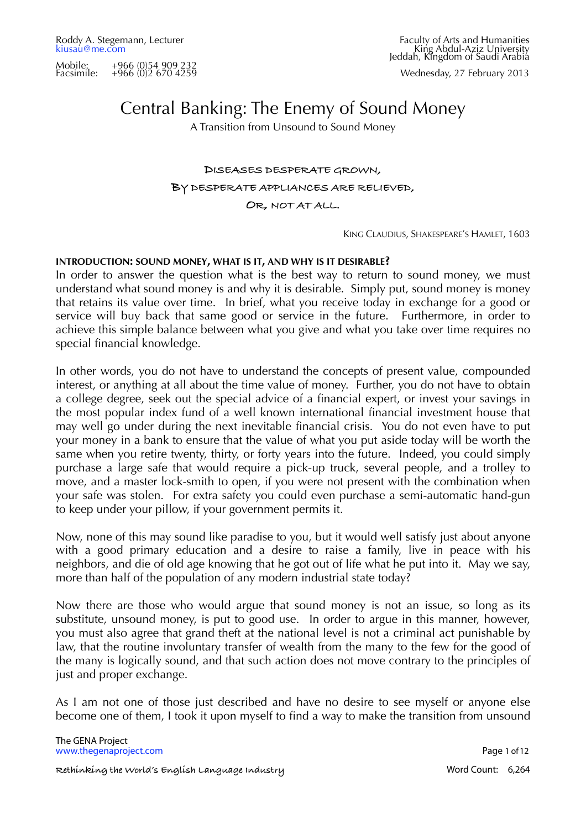Wednesday, 27 February 2013

# Central Banking: The Enemy of Sound Money

A Transition from Unsound to Sound Money

# **DISEASES DESPERATE GROWN, BY DESPERATE APPLIANCES ARE RELIEVED, OR, NOT AT ALL.**

KING CLAUDIUS, SHAKESPEARE'S HAMLET, 1603

## **INTRODUCTION: SOUND MONEY, WHAT IS IT, AND WHY IS IT DESIRABLE?**

In order to answer the question what is the best way to return to sound money, we must understand what sound money is and why it is desirable. Simply put, sound money is money that retains its value over time. In brief, what you receive today in exchange for a good or service will buy back that same good or service in the future. Furthermore, in order to achieve this simple balance between what you give and what you take over time requires no special financial knowledge.

In other words, you do not have to understand the concepts of present value, compounded interest, or anything at all about the time value of money. Further, you do not have to obtain a college degree, seek out the special advice of a financial expert, or invest your savings in the most popular index fund of a well known international financial investment house that may well go under during the next inevitable financial crisis. You do not even have to put your money in a bank to ensure that the value of what you put aside today will be worth the same when you retire twenty, thirty, or forty years into the future. Indeed, you could simply purchase a large safe that would require a pick-up truck, several people, and a trolley to move, and a master lock-smith to open, if you were not present with the combination when your safe was stolen. For extra safety you could even purchase a semi-automatic hand-gun to keep under your pillow, if your government permits it.

Now, none of this may sound like paradise to you, but it would well satisfy just about anyone with a good primary education and a desire to raise a family, live in peace with his neighbors, and die of old age knowing that he got out of life what he put into it. May we say, more than half of the population of any modern industrial state today?

Now there are those who would argue that sound money is not an issue, so long as its substitute, unsound money, is put to good use. In order to argue in this manner, however, you must also agree that grand theft at the national level is not a criminal act punishable by law, that the routine involuntary transfer of wealth from the many to the few for the good of the many is logically sound, and that such action does not move contrary to the principles of just and proper exchange.

As I am not one of those just described and have no desire to see myself or anyone else become one of them, I took it upon myself to find a way to make the transition from unsound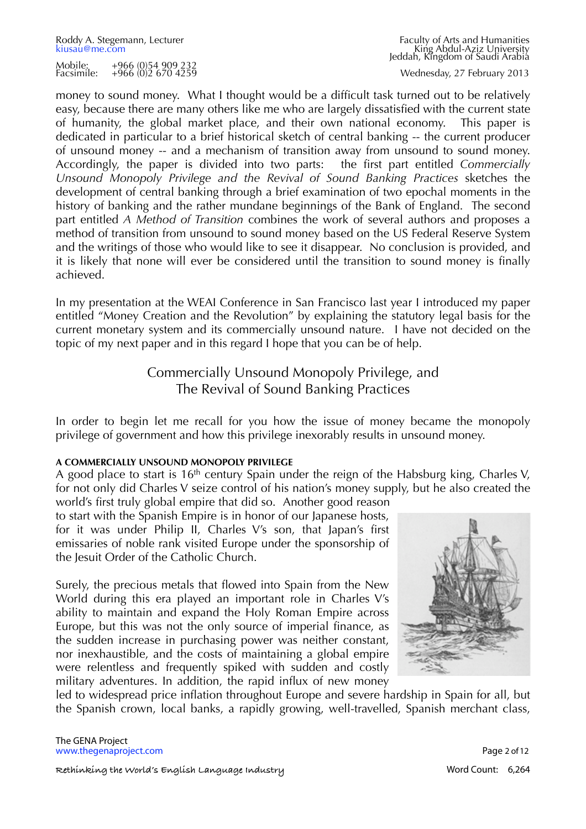Roddy A. Stegemann, Lecturer Faculty of Arts and Humanities<br>
kiusau@me.com Faculty of Arts and Humanities<br>
Faculty of Arts and Humanities [kiusau@me.com](mailto:kiusau@me.com?subject=The%20GENA%20Project) King Abdul-Aziz UniversityJeddah, Kingdom of Saudi Arabia

Wednesday, 27 February 2013

money to sound money. What I thought would be a difficult task turned out to be relatively easy, because there are many others like me who are largely dissatisfied with the current state of humanity, the global market place, and their own national economy. This paper is dedicated in particular to a brief historical sketch of central banking -- the current producer of unsound money -- and a mechanism of transition away from unsound to sound money. Accordingly, the paper is divided into two parts: the first part entitled *Commercially Unsound Monopoly Privilege and the Revival of Sound Banking Practices* sketches the development of central banking through a brief examination of two epochal moments in the history of banking and the rather mundane beginnings of the Bank of England. The second part entitled *A Method of Transition* combines the work of several authors and proposes a method of transition from unsound to sound money based on the US Federal Reserve System and the writings of those who would like to see it disappear. No conclusion is provided, and it is likely that none will ever be considered until the transition to sound money is finally achieved.

In my presentation at the WEAI Conference in San Francisco last year I introduced my paper entitled "Money Creation and the Revolution" by explaining the statutory legal basis for the current monetary system and its commercially unsound nature. I have not decided on the topic of my next paper and in this regard I hope that you can be of help.

# Commercially Unsound Monopoly Privilege, and The Revival of Sound Banking Practices

In order to begin let me recall for you how the issue of money became the monopoly privilege of government and how this privilege inexorably results in unsound money.

# **A COMMERCIALLY UNSOUND MONOPOLY PRIVILEGE**

A good place to start is  $16<sup>th</sup>$  century Spain under the reign of the Habsburg king, Charles V, for not only did Charles V seize control of his nation's money supply, but he also created the world's first truly global empire that did so. Another good reason

to start with the Spanish Empire is in honor of our Japanese hosts, for it was under Philip II, Charles V's son, that Japan's first emissaries of noble rank visited Europe under the sponsorship of the Jesuit Order of the Catholic Church.

Surely, the precious metals that flowed into Spain from the New World during this era played an important role in Charles V's ability to maintain and expand the Holy Roman Empire across Europe, but this was not the only source of imperial finance, as the sudden increase in purchasing power was neither constant, nor inexhaustible, and the costs of maintaining a global empire were relentless and frequently spiked with sudden and costly military adventures. In addition, the rapid influx of new money



led to widespread price inflation throughout Europe and severe hardship in Spain for all, but the Spanish crown, local banks, a rapidly growing, well-travelled, Spanish merchant class,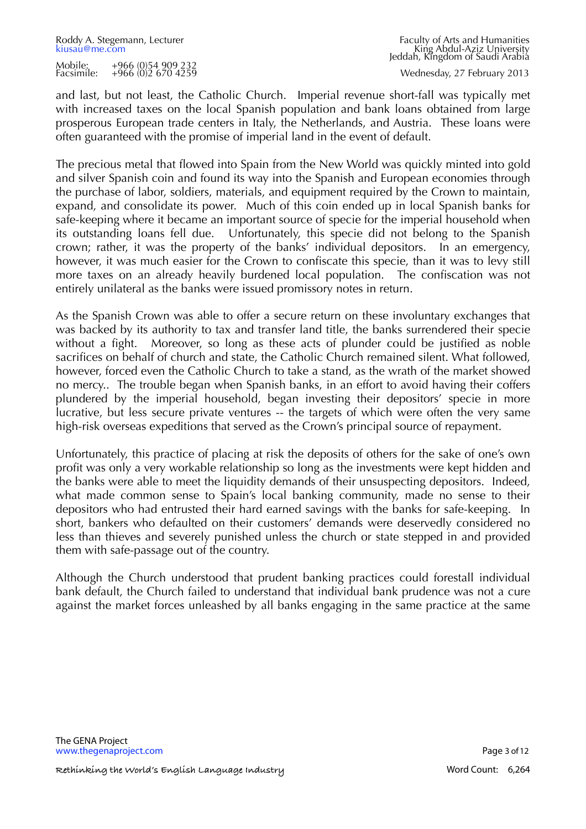and last, but not least, the Catholic Church. Imperial revenue short-fall was typically met with increased taxes on the local Spanish population and bank loans obtained from large prosperous European trade centers in Italy, the Netherlands, and Austria. These loans were often guaranteed with the promise of imperial land in the event of default.

The precious metal that flowed into Spain from the New World was quickly minted into gold and silver Spanish coin and found its way into the Spanish and European economies through the purchase of labor, soldiers, materials, and equipment required by the Crown to maintain, expand, and consolidate its power. Much of this coin ended up in local Spanish banks for safe-keeping where it became an important source of specie for the imperial household when its outstanding loans fell due. Unfortunately, this specie did not belong to the Spanish crown; rather, it was the property of the banks' individual depositors. In an emergency, however, it was much easier for the Crown to confiscate this specie, than it was to levy still more taxes on an already heavily burdened local population. The confiscation was not entirely unilateral as the banks were issued promissory notes in return.

As the Spanish Crown was able to offer a secure return on these involuntary exchanges that was backed by its authority to tax and transfer land title, the banks surrendered their specie without a fight. Moreover, so long as these acts of plunder could be justified as noble sacrifices on behalf of church and state, the Catholic Church remained silent. What followed, however, forced even the Catholic Church to take a stand, as the wrath of the market showed no mercy.. The trouble began when Spanish banks, in an effort to avoid having their coffers plundered by the imperial household, began investing their depositors' specie in more lucrative, but less secure private ventures -- the targets of which were often the very same high-risk overseas expeditions that served as the Crown's principal source of repayment.

Unfortunately, this practice of placing at risk the deposits of others for the sake of one's own profit was only a very workable relationship so long as the investments were kept hidden and the banks were able to meet the liquidity demands of their unsuspecting depositors. Indeed, what made common sense to Spain's local banking community, made no sense to their depositors who had entrusted their hard earned savings with the banks for safe-keeping. In short, bankers who defaulted on their customers' demands were deservedly considered no less than thieves and severely punished unless the church or state stepped in and provided them with safe-passage out of the country.

Although the Church understood that prudent banking practices could forestall individual bank default, the Church failed to understand that individual bank prudence was not a cure against the market forces unleashed by all banks engaging in the same practice at the same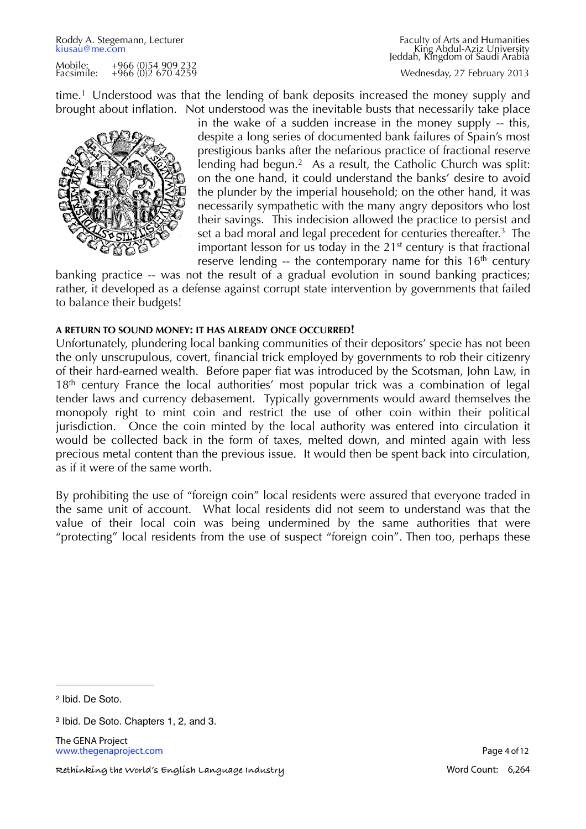time.1 Understood was that the lending of bank deposits increased the money supply and brought about inflation. Not understood was the inevitable busts that necessarily take place



in the wake of a sudden increase in the money supply -- this, despite a long series of documented bank failures of Spain's most prestigious banks after the nefarious practice of fractional reserve lending had begun.<sup>2</sup> As a result, the Catholic Church was split: on the one hand, it could understand the banks' desire to avoid the plunder by the imperial household; on the other hand, it was necessarily sympathetic with the many angry depositors who lost their savings. This indecision allowed the practice to persist and set a bad moral and legal precedent for centuries thereafter.<sup>3</sup> The important lesson for us today in the 21<sup>st</sup> century is that fractional reserve lending  $-$  the contemporary name for this  $16<sup>th</sup>$  century

banking practice -- was not the result of a gradual evolution in sound banking practices; rather, it developed as a defense against corrupt state intervention by governments that failed to balance their budgets!

## **A RETURN TO SOUND MONEY: IT HAS ALREADY ONCE OCCURRED!**

Unfortunately, plundering local banking communities of their depositors' specie has not been the only unscrupulous, covert, financial trick employed by governments to rob their citizenry of their hard-earned wealth. Before paper fiat was introduced by the Scotsman, John Law, in 18<sup>th</sup> century France the local authorities' most popular trick was a combination of legal tender laws and currency debasement. Typically governments would award themselves the monopoly right to mint coin and restrict the use of other coin within their political jurisdiction. Once the coin minted by the local authority was entered into circulation it would be collected back in the form of taxes, melted down, and minted again with less precious metal content than the previous issue. It would then be spent back into circulation, as if it were of the same worth.

By prohibiting the use of "foreign coin" local residents were assured that everyone traded in the same unit of account. What local residents did not seem to understand was that the value of their local coin was being undermined by the same authorities that were "protecting" local residents from the use of suspect "foreign coin". Then too, perhaps these

<span id="page-3-0"></span>2 Ibid. De Soto.

The GENA Project [www.thegenaproject.com](http://www.thegenaproject.com) example and the page 4 of 12

<span id="page-3-1"></span><sup>3</sup> Ibid. De Soto. Chapters 1, 2, and 3.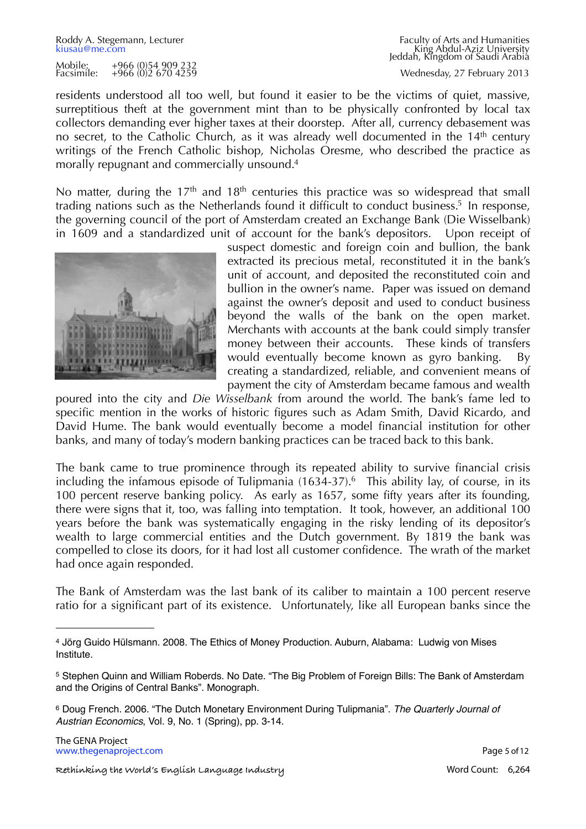Roddy A. Stegemann, Lecturer Faculty of Arts and Humanities<br>
kiusau@me.com Faculty of Arts and Humanities<br>
Faculty of Arts and Humanities [kiusau@me.com](mailto:kiusau@me.com?subject=The%20GENA%20Project) King Abdul-Aziz UniversityJeddah, Kingdom of Saudi Arabia Wednesday, 27 February 2013

residents understood all too well, but found it easier to be the victims of quiet, massive, surreptitious theft at the government mint than to be physically confronted by local tax collectors demanding ever higher taxes at their doorstep. After all, currency debasement was no secret, to the Catholic Church, as it was already well documented in the 14<sup>th</sup> century writings of the French Catholic bishop, Nicholas Oresme, who described the practice as morally repugnant and commercially unsound[.4](#page-4-0) 

No matter, during the  $17<sup>th</sup>$  and  $18<sup>th</sup>$  centuries this practice was so widespread that small trading nations such as the Netherlands found it difficult to conduct business.<sup>5</sup> In response, the governing council of the port of Amsterdam created an Exchange Bank (Die Wisselbank) in 1609 and a standardized unit of account for the bank's depositors. Upon receipt of



suspect domestic and foreign coin and bullion, the bank extracted its precious metal, reconstituted it in the bank's unit of account, and deposited the reconstituted coin and bullion in the owner's name. Paper was issued on demand against the owner's deposit and used to conduct business beyond the walls of the bank on the open market. Merchants with accounts at the bank could simply transfer money between their accounts. These kinds of transfers would eventually become known as gyro banking. By creating a standardized, reliable, and convenient means of payment the city of Amsterdam became famous and wealth

poured into the city and *Die Wisselbank* from around the world. The bank's fame led to specific mention in the works of historic figures such as Adam Smith, David Ricardo, and David Hume. The bank would eventually become a model financial institution for other banks, and many of today's modern banking practices can be traced back to this bank.

The bank came to true prominence through its repeated ability to survive financial crisis including the infamous episode of Tulipmania  $(1634-37)<sup>6</sup>$  This ability lay, of course, in its 100 percent reserve banking policy. As early as 1657, some fifty years after its founding, there were signs that it, too, was falling into temptation. It took, however, an additional 100 years before the bank was systematically engaging in the risky lending of its depositor's wealth to large commercial entities and the Dutch government. By 1819 the bank was compelled to close its doors, for it had lost all customer confidence. The wrath of the market had once again responded.

The Bank of Amsterdam was the last bank of its caliber to maintain a 100 percent reserve ratio for a significant part of its existence. Unfortunately, like all European banks since the

<span id="page-4-0"></span><sup>4</sup> Jörg Guido Hülsmann. 2008. The Ethics of Money Production. Auburn, Alabama: Ludwig von Mises Institute.

<span id="page-4-1"></span><sup>5</sup> Stephen Quinn and William Roberds. No Date. "The Big Problem of Foreign Bills: The Bank of Amsterdam and the Origins of Central Banks". Monograph.

<span id="page-4-2"></span><sup>6</sup> Doug French. 2006. "The Dutch Monetary Environment During Tulipmania". *The Quarterly Journal of Austrian Economics*, Vol. 9, No. 1 (Spring), pp. 3-14.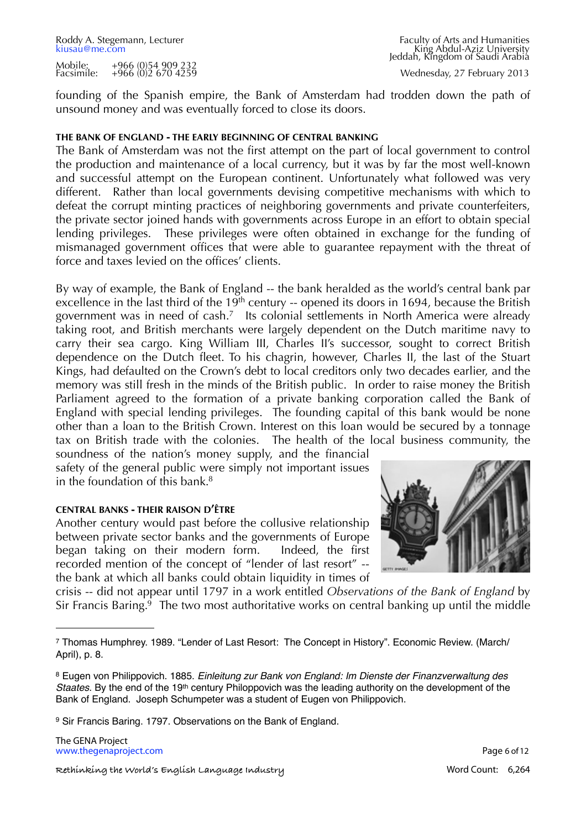founding of the Spanish empire, the Bank of Amsterdam had trodden down the path of unsound money and was eventually forced to close its doors.

#### **THE BANK OF ENGLAND - THE EARLY BEGINNING OF CENTRAL BANKING**

The Bank of Amsterdam was not the first attempt on the part of local government to control the production and maintenance of a local currency, but it was by far the most well-known and successful attempt on the European continent. Unfortunately what followed was very different. Rather than local governments devising competitive mechanisms with which to defeat the corrupt minting practices of neighboring governments and private counterfeiters, the private sector joined hands with governments across Europe in an effort to obtain special lending privileges. These privileges were often obtained in exchange for the funding of mismanaged government offices that were able to guarantee repayment with the threat of force and taxes levied on the offices' clients.

By way of example, the Bank of England -- the bank heralded as the world's central bank par excellence in the last third of the 19<sup>th</sup> century -- opened its doors in 1694, because the British government was in need of cash.[7](#page-5-0) Its colonial settlements in North America were already taking root, and British merchants were largely dependent on the Dutch maritime navy to carry their sea cargo. King William III, Charles II's successor, sought to correct British dependence on the Dutch fleet. To his chagrin, however, Charles II, the last of the Stuart Kings, had defaulted on the Crown's debt to local creditors only two decades earlier, and the memory was still fresh in the minds of the British public. In order to raise money the British Parliament agreed to the formation of a private banking corporation called the Bank of England with special lending privileges. The founding capital of this bank would be none other than a loan to the British Crown. Interest on this loan would be secured by a tonnage tax on British trade with the colonies. The health of the local business community, the

soundness of the nation's money supply, and the financial safety of the general public were simply not important issues in the foundation of this bank. $8$ 

#### **CENTRAL BANKS - THEIR RAISON D'ÊTRE**

Another century would past before the collusive relationship between private sector banks and the governments of Europe began taking on their modern form. Indeed, the first recorded mention of the concept of "lender of last resort" - the bank at which all banks could obtain liquidity in times of



crisis -- did not appear until 1797 in a work entitled *Observations of the Bank of England* by Sir Francis Baring[.9](#page-5-2) The two most authoritative works on central banking up until the middle

The GENA Project [www.thegenaproject.com](http://www.thegenaproject.com) **Page 6 of 12** 

**! ! ! Rethinking the World's English Language Industry! !** Word Count: 6,264

<span id="page-5-0"></span><sup>7</sup> Thomas Humphrey. 1989. "Lender of Last Resort: The Concept in History". Economic Review. (March/ April), p. 8.

<span id="page-5-1"></span><sup>8</sup> Eugen von Philippovich. 1885. *Einleitung zur Bank von England: Im Dienste der Finanzverwaltung des Staates*. By the end of the 19th century Philoppovich was the leading authority on the development of the Bank of England. Joseph Schumpeter was a student of Eugen von Philippovich.

<span id="page-5-2"></span><sup>9</sup> Sir Francis Baring. 1797. Observations on the Bank of England.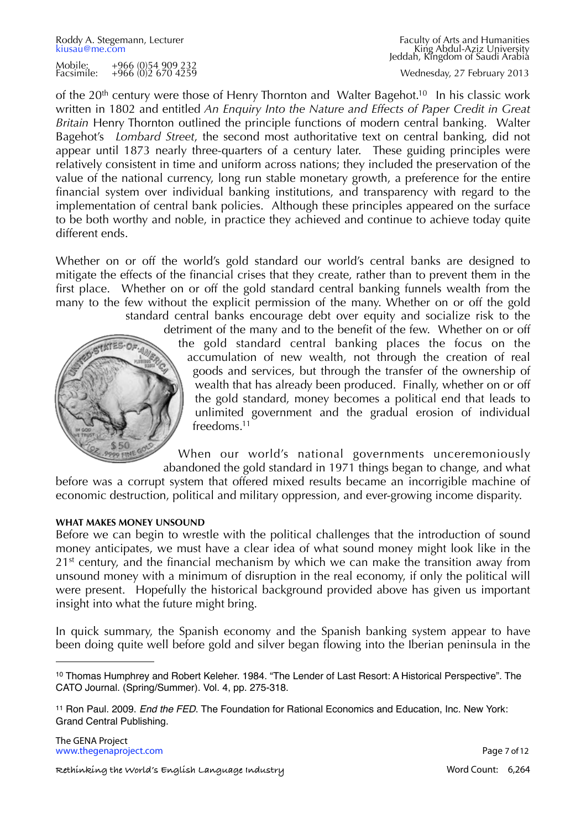Roddy A. Stegemann, Lecturer Faculty of Arts and Humanities<br>
kiusau@me.com Faculty of Arts and Humanities<br>
Faculty of Arts and Humanities [kiusau@me.com](mailto:kiusau@me.com?subject=The%20GENA%20Project) King Abdul-Aziz UniversityJeddah, Kingdom of Saudi Arabia

Wednesday, 27 February 2013

of the 20<sup>th</sup> century were those of Henry Thornton and Walter Bagehot.<sup>10</sup> In his classic work written in 1802 and entitled *An Enquiry Into the Nature and Effects of Paper Credit in Great Britain* Henry Thornton outlined the principle functions of modern central banking. Walter Bagehot's *Lombard Street*, the second most authoritative text on central banking, did not appear until 1873 nearly three-quarters of a century later. These guiding principles were relatively consistent in time and uniform across nations; they included the preservation of the value of the national currency, long run stable monetary growth, a preference for the entire financial system over individual banking institutions, and transparency with regard to the implementation of central bank policies. Although these principles appeared on the surface to be both worthy and noble, in practice they achieved and continue to achieve today quite different ends.

Whether on or off the world's gold standard our world's central banks are designed to mitigate the effects of the financial crises that they create, rather than to prevent them in the first place. Whether on or off the gold standard central banking funnels wealth from the many to the few without the explicit permission of the many. Whether on or off the gold standard central banks encourage debt over equity and socialize risk to the



detriment of the many and to the benefit of the few. Whether on or off the gold standard central banking places the focus on the accumulation of new wealth, not through the creation of real goods and services, but through the transfer of the ownership of wealth that has already been produced. Finally, whether on or off the gold standard, money becomes a political end that leads to unlimited government and the gradual erosion of individual freedoms[.11](#page-6-1)

When our world's national governments unceremoniously abandoned the gold standard in 1971 things began to change, and what

before was a corrupt system that offered mixed results became an incorrigible machine of economic destruction, political and military oppression, and ever-growing income disparity.

#### **WHAT MAKES MONEY UNSOUND**

Before we can begin to wrestle with the political challenges that the introduction of sound money anticipates, we must have a clear idea of what sound money might look like in the 21<sup>st</sup> century, and the financial mechanism by which we can make the transition away from unsound money with a minimum of disruption in the real economy, if only the political will were present. Hopefully the historical background provided above has given us important insight into what the future might bring.

In quick summary, the Spanish economy and the Spanish banking system appear to have been doing quite well before gold and silver began flowing into the Iberian peninsula in the

<span id="page-6-0"></span><sup>10</sup> Thomas Humphrey and Robert Keleher. 1984. "The Lender of Last Resort: A Historical Perspective". The CATO Journal. (Spring/Summer). Vol. 4, pp. 275-318.

<span id="page-6-1"></span><sup>11</sup> Ron Paul. 2009. *End the FED*. The Foundation for Rational Economics and Education, Inc. New York: Grand Central Publishing.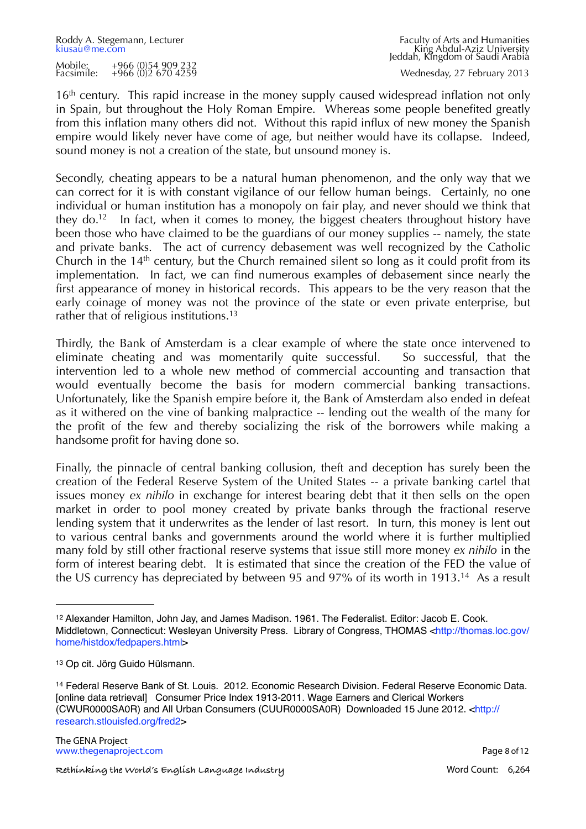16<sup>th</sup> century. This rapid increase in the money supply caused widespread inflation not only in Spain, but throughout the Holy Roman Empire. Whereas some people benefited greatly from this inflation many others did not. Without this rapid influx of new money the Spanish empire would likely never have come of age, but neither would have its collapse. Indeed, sound money is not a creation of the state, but unsound money is.

Secondly, cheating appears to be a natural human phenomenon, and the only way that we can correct for it is with constant vigilance of our fellow human beings. Certainly, no one individual or human institution has a monopoly on fair play, and never should we think that they do.<sup>12</sup> In fact, when it comes to money, the biggest cheaters throughout history have been those who have claimed to be the guardians of our money supplies -- namely, the state and private banks. The act of currency debasement was well recognized by the Catholic Church in the  $14<sup>th</sup>$  century, but the Church remained silent so long as it could profit from its implementation. In fact, we can find numerous examples of debasement since nearly the first appearance of money in historical records. This appears to be the very reason that the early coinage of money was not the province of the state or even private enterprise, but rather that of religious institutions.<sup>[13](#page-7-1)</sup>

Thirdly, the Bank of Amsterdam is a clear example of where the state once intervened to eliminate cheating and was momentarily quite successful. So successful, that the intervention led to a whole new method of commercial accounting and transaction that would eventually become the basis for modern commercial banking transactions. Unfortunately, like the Spanish empire before it, the Bank of Amsterdam also ended in defeat as it withered on the vine of banking malpractice -- lending out the wealth of the many for the profit of the few and thereby socializing the risk of the borrowers while making a handsome profit for having done so.

Finally, the pinnacle of central banking collusion, theft and deception has surely been the creation of the Federal Reserve System of the United States -- a private banking cartel that issues money *ex nihilo* in exchange for interest bearing debt that it then sells on the open market in order to pool money created by private banks through the fractional reserve lending system that it underwrites as the lender of last resort. In turn, this money is lent out to various central banks and governments around the world where it is further multiplied many fold by still other fractional reserve systems that issue still more money *ex nihilo* in the form of interest bearing debt. It is estimated that since the creation of the FED the value of the US currency has depreciated by between 95 and 97% of its worth in 1913.[14](#page-7-2) As a result

<span id="page-7-0"></span><sup>12</sup> Alexander Hamilton, John Jay, and James Madison. 1961. The Federalist. Editor: Jacob E. Cook. Middletown, Connecticut: Wesleyan University Press. Library of Congress, THOMAS [<http://thomas.loc.gov/](http://thomas.loc.gov/home/histdox/fedpapers.html) [home/histdox/fedpapers.html](http://thomas.loc.gov/home/histdox/fedpapers.html)>

<span id="page-7-1"></span><sup>13</sup> Op cit. Jörg Guido Hülsmann.

<span id="page-7-2"></span><sup>14</sup> Federal Reserve Bank of St. Louis. 2012. Economic Research Division. Federal Reserve Economic Data. [online data retrieval] Consumer Price Index 1913-2011. Wage Earners and Clerical Workers (CWUR0000SA0R) and All Urban Consumers (CUUR0000SA0R) Downloaded 15 June 2012. [<http://](http://research.stlouisfed.org/fred2) [research.stlouisfed.org/fred2](http://research.stlouisfed.org/fred2)>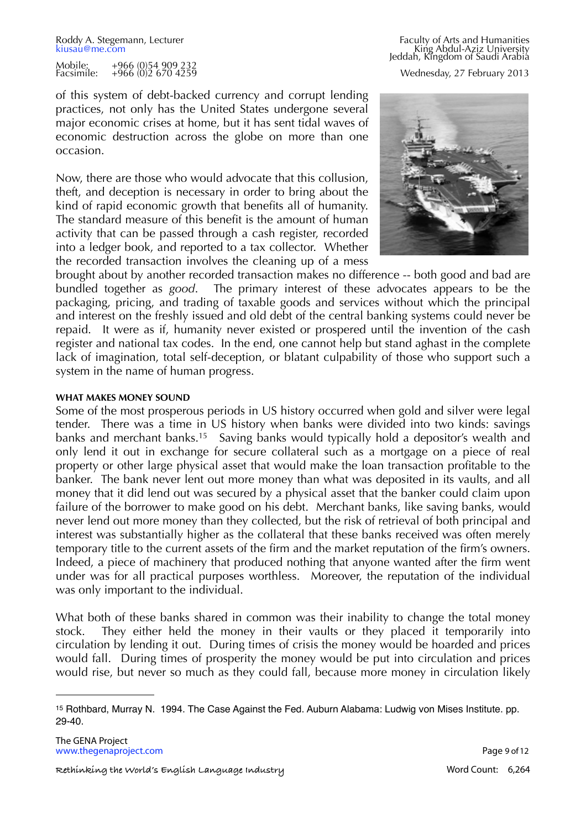of this system of debt-backed currency and corrupt lending practices, not only has the United States undergone several major economic crises at home, but it has sent tidal waves of economic destruction across the globe on more than one occasion.

Now, there are those who would advocate that this collusion, theft, and deception is necessary in order to bring about the kind of rapid economic growth that benefits all of humanity. The standard measure of this benefit is the amount of human activity that can be passed through a cash register, recorded into a ledger book, and reported to a tax collector. Whether the recorded transaction involves the cleaning up of a mess

Roddy A. Stegemann, Lecturer Faculty of Arts and Humanities<br>
kiusau@me.com Faculty of Arts and Humanities<br>
Faculty of Arts and Humanities [kiusau@me.com](mailto:kiusau@me.com?subject=The%20GENA%20Project) King Abdul-Aziz UniversityJeddah, Kingdom of Saudi Arabia Wednesday, 27 February 2013



brought about by another recorded transaction makes no difference -- both good and bad are bundled together as *good*. The primary interest of these advocates appears to be the packaging, pricing, and trading of taxable goods and services without which the principal and interest on the freshly issued and old debt of the central banking systems could never be repaid. It were as if, humanity never existed or prospered until the invention of the cash register and national tax codes. In the end, one cannot help but stand aghast in the complete lack of imagination, total self-deception, or blatant culpability of those who support such a system in the name of human progress.

#### **WHAT MAKES MONEY SOUND**

Some of the most prosperous periods in US history occurred when gold and silver were legal tender. There was a time in US history when banks were divided into two kinds: savings banks and merchant banks.<sup>15</sup> Saving banks would typically hold a depositor's wealth and only lend it out in exchange for secure collateral such as a mortgage on a piece of real property or other large physical asset that would make the loan transaction profitable to the banker. The bank never lent out more money than what was deposited in its vaults, and all money that it did lend out was secured by a physical asset that the banker could claim upon failure of the borrower to make good on his debt. Merchant banks, like saving banks, would never lend out more money than they collected, but the risk of retrieval of both principal and interest was substantially higher as the collateral that these banks received was often merely temporary title to the current assets of the firm and the market reputation of the firm's owners. Indeed, a piece of machinery that produced nothing that anyone wanted after the firm went under was for all practical purposes worthless. Moreover, the reputation of the individual was only important to the individual.

What both of these banks shared in common was their inability to change the total money stock. They either held the money in their vaults or they placed it temporarily into circulation by lending it out. During times of crisis the money would be hoarded and prices would fall. During times of prosperity the money would be put into circulation and prices would rise, but never so much as they could fall, because more money in circulation likely

<span id="page-8-0"></span><sup>15</sup> Rothbard, Murray N. 1994. The Case Against the Fed. Auburn Alabama: Ludwig von Mises Institute. pp. 29-40.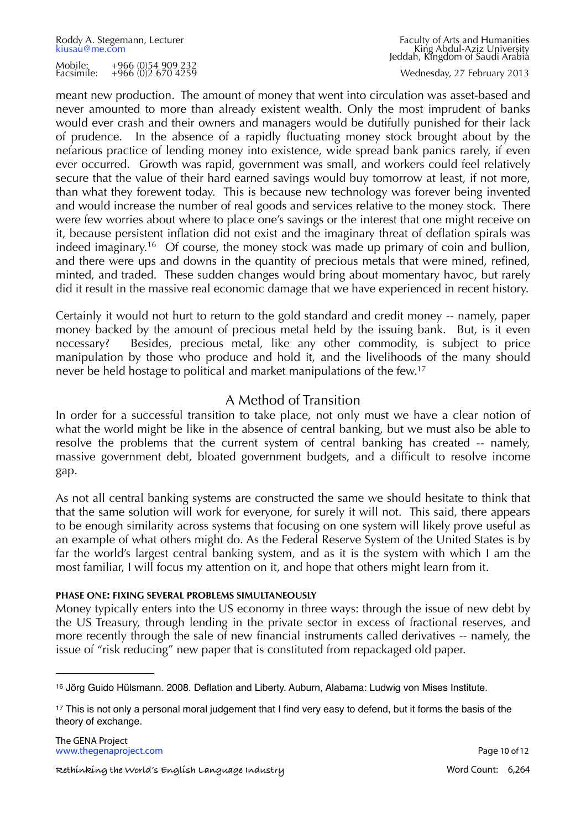Wednesday, 27 February 2013

meant new production. The amount of money that went into circulation was asset-based and never amounted to more than already existent wealth. Only the most imprudent of banks would ever crash and their owners and managers would be dutifully punished for their lack of prudence. In the absence of a rapidly fluctuating money stock brought about by the nefarious practice of lending money into existence, wide spread bank panics rarely, if even ever occurred. Growth was rapid, government was small, and workers could feel relatively secure that the value of their hard earned savings would buy tomorrow at least, if not more, than what they forewent today. This is because new technology was forever being invented and would increase the number of real goods and services relative to the money stock. There were few worries about where to place one's savings or the interest that one might receive on it, because persistent inflation did not exist and the imaginary threat of deflation spirals was indeed imaginary.<sup>16</sup> Of course, the money stock was made up primary of coin and bullion, and there were ups and downs in the quantity of precious metals that were mined, refined, minted, and traded. These sudden changes would bring about momentary havoc, but rarely did it result in the massive real economic damage that we have experienced in recent history.

Certainly it would not hurt to return to the gold standard and credit money -- namely, paper money backed by the amount of precious metal held by the issuing bank. But, is it even necessary? Besides, precious metal, like any other commodity, is subject to price manipulation by those who produce and hold it, and the livelihoods of the many should never be held hostage to political and market manipulations of the few.[17](#page-9-1)

# A Method of Transition

In order for a successful transition to take place, not only must we have a clear notion of what the world might be like in the absence of central banking, but we must also be able to resolve the problems that the current system of central banking has created -- namely, massive government debt, bloated government budgets, and a difficult to resolve income gap.

As not all central banking systems are constructed the same we should hesitate to think that that the same solution will work for everyone, for surely it will not. This said, there appears to be enough similarity across systems that focusing on one system will likely prove useful as an example of what others might do. As the Federal Reserve System of the United States is by far the world's largest central banking system, and as it is the system with which I am the most familiar, I will focus my attention on it, and hope that others might learn from it.

# **PHASE ONE: FIXING SEVERAL PROBLEMS SIMULTANEOUSLY**

Money typically enters into the US economy in three ways: through the issue of new debt by the US Treasury, through lending in the private sector in excess of fractional reserves, and more recently through the sale of new financial instruments called derivatives -- namely, the issue of "risk reducing" new paper that is constituted from repackaged old paper.

<span id="page-9-0"></span><sup>16</sup> Jörg Guido Hülsmann. 2008. Deflation and Liberty. Auburn, Alabama: Ludwig von Mises Institute.

<span id="page-9-1"></span><sup>17</sup> This is not only a personal moral judgement that I find very easy to defend, but it forms the basis of the theory of exchange.

**<sup>! ! !</sup> Rethinking the World's English Language Industry! !** Word Count: 6,264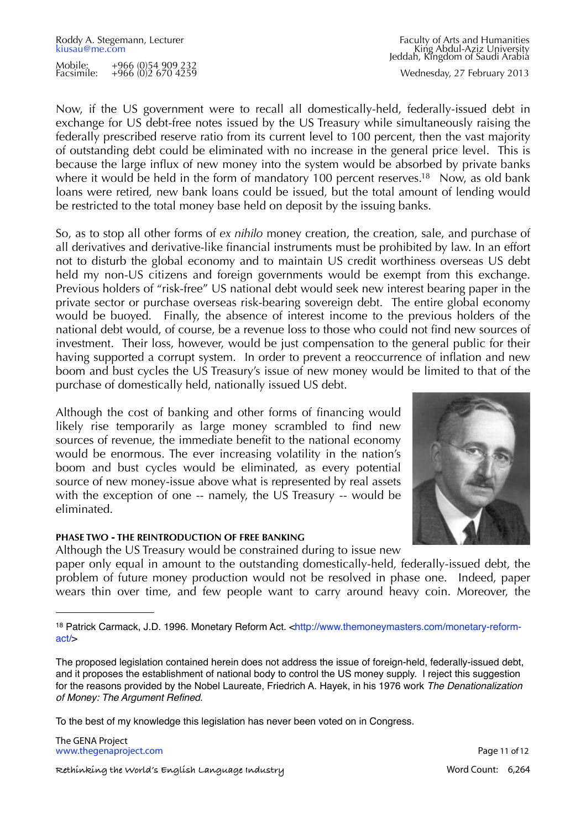Wednesday, 27 February 2013

Now, if the US government were to recall all domestically-held, federally-issued debt in exchange for US debt-free notes issued by the US Treasury while simultaneously raising the federally prescribed reserve ratio from its current level to 100 percent, then the vast majority of outstanding debt could be eliminated with no increase in the general price level. This is because the large influx of new money into the system would be absorbed by private banks where it would be held in the form of mandatory 100 percent reserves.<sup>18</sup> Now, as old bank loans were retired, new bank loans could be issued, but the total amount of lending would be restricted to the total money base held on deposit by the issuing banks.

So, as to stop all other forms of *ex nihilo* money creation, the creation, sale, and purchase of all derivatives and derivative-like financial instruments must be prohibited by law. In an effort not to disturb the global economy and to maintain US credit worthiness overseas US debt held my non-US citizens and foreign governments would be exempt from this exchange. Previous holders of "risk-free" US national debt would seek new interest bearing paper in the private sector or purchase overseas risk-bearing sovereign debt. The entire global economy would be buoyed. Finally, the absence of interest income to the previous holders of the national debt would, of course, be a revenue loss to those who could not find new sources of investment. Their loss, however, would be just compensation to the general public for their having supported a corrupt system. In order to prevent a reoccurrence of inflation and new boom and bust cycles the US Treasury's issue of new money would be limited to that of the purchase of domestically held, nationally issued US debt.

Although the cost of banking and other forms of financing would likely rise temporarily as large money scrambled to find new sources of revenue, the immediate benefit to the national economy would be enormous. The ever increasing volatility in the nation's boom and bust cycles would be eliminated, as every potential source of new money-issue above what is represented by real assets with the exception of one -- namely, the US Treasury -- would be eliminated.

# **PHASE TWO - THE REINTRODUCTION OF FREE BANKING**

Although the US Treasury would be constrained during to issue new

paper only equal in amount to the outstanding domestically-held, federally-issued debt, the problem of future money production would not be resolved in phase one. Indeed, paper wears thin over time, and few people want to carry around heavy coin. Moreover, the

To the best of my knowledge this legislation has never been voted on in Congress.

The GENA Project [www.thegenaproject.com](http://www.thegenaproject.com) example of the page 11 of 12

**! ! ! Rethinking the World's English Language Industry! !** Word Count: 6,264



<span id="page-10-0"></span><sup>18</sup> Patrick Carmack, J.D. 1996. Monetary Reform Act. [<http://www.themoneymasters.com/monetary-reform](http://www.themoneymasters.com/monetary-reform-act/)[act/>](http://www.themoneymasters.com/monetary-reform-act/)

The proposed legislation contained herein does not address the issue of foreign-held, federally-issued debt, and it proposes the establishment of national body to control the US money supply. I reject this suggestion for the reasons provided by the Nobel Laureate, Friedrich A. Hayek, in his 1976 work *The Denationalization of Money: The Argument Refined*.